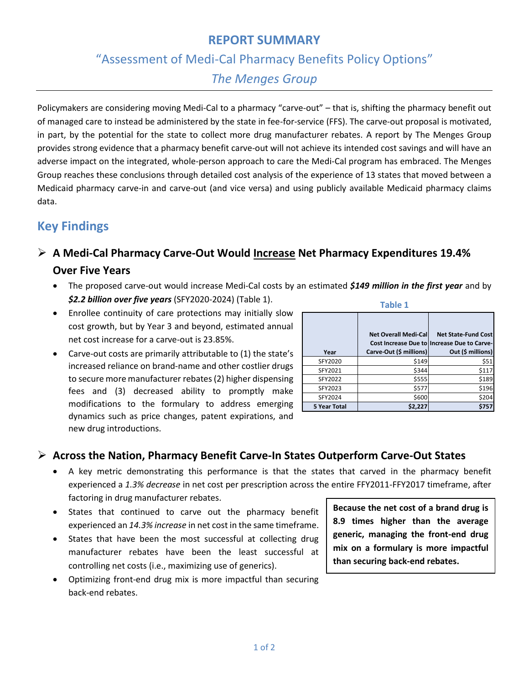#### **REPORT SUMMARY**

### "Assessment of Medi-Cal Pharmacy Benefits Policy Options"

### *The Menges Group*

Policymakers are considering moving Medi-Cal to a pharmacy "carve-out" – that is, shifting the pharmacy benefit out of managed care to instead be administered by the state in fee-for-service (FFS). The carve-out proposal is motivated, in part, by the potential for the state to collect more drug manufacturer rebates. A report by The Menges Group provides strong evidence that a pharmacy benefit carve-out will not achieve its intended cost savings and will have an adverse impact on the integrated, whole-person approach to care the Medi-Cal program has embraced. The Menges Group reaches these conclusions through detailed cost analysis of the experience of 13 states that moved between a Medicaid pharmacy carve-in and carve-out (and vice versa) and using publicly available Medicaid pharmacy claims data.

## **Key Findings**

## ➢ **A Medi-Cal Pharmacy Carve-Out Would Increase Net Pharmacy Expenditures 19.4% Over Five Years**

- The proposed carve-out would increase Medi-Cal costs by an estimated *\$149 million in the first year* and by *\$2.2 billion over five years* (SFY2020-2024) (Table 1).
- Enrollee continuity of care protections may initially slow cost growth, but by Year 3 and beyond, estimated annual net cost increase for a carve-out is 23.85%.
- Carve-out costs are primarily attributable to (1) the state's increased reliance on brand-name and other costlier drugs to secure more manufacturer rebates(2) higher dispensing fees and (3) decreased ability to promptly make modifications to the formulary to address emerging dynamics such as price changes, patent expirations, and new drug introductions.

| <b>Table 1</b> |                                                        |                                                                                                |
|----------------|--------------------------------------------------------|------------------------------------------------------------------------------------------------|
| Year           | <b>Net Overall Medi-Cal</b><br>Carve-Out (\$ millions) | <b>Net State-Fund Cost</b><br>Cost Increase Due to Increase Due to Carve-<br>Out (\$ millions) |
| SFY2020        | \$149                                                  | \$51                                                                                           |
| SFY2021        | \$344                                                  | \$117                                                                                          |
| SFY2022        | \$555                                                  | \$189                                                                                          |
| SFY2023        | \$577                                                  | \$196                                                                                          |
| SFY2024        | \$600                                                  | \$204                                                                                          |
| 5 Year Total   | \$2,227                                                | \$757                                                                                          |

#### ➢ **Across the Nation, Pharmacy Benefit Carve-In States Outperform Carve-Out States**

- A key metric demonstrating this performance is that the states that carved in the pharmacy benefit experienced a *1.3% decrease* in net cost per prescription across the entire FFY2011-FFY2017 timeframe, after factoring in drug manufacturer rebates.
- States that continued to carve out the pharmacy benefit experienced an *14.3% increase* in net cost in the same timeframe.
- States that have been the most successful at collecting drug manufacturer rebates have been the least successful at controlling net costs (i.e., maximizing use of generics).
- Optimizing front-end drug mix is more impactful than securing back-end rebates.

**Because the net cost of a brand drug is 8.9 times higher than the average generic, managing the front-end drug mix on a formulary is more impactful than securing back-end rebates.**